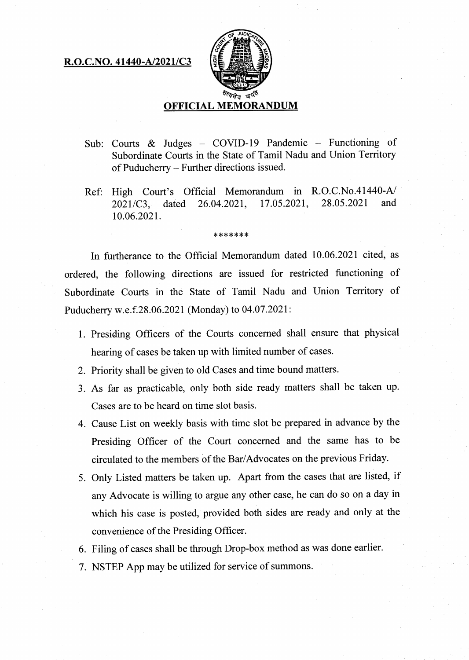## **R.O.C.NO. 41440-A/2021/C3**



- **Sub: Courts & Judges COVID-19 Pandemic Functioning of Subordinate Courts in the State of Tamil Nadu and Union Territory of Puducherry — Further directions issued.**
- **Ref: High Court's Official Memorandum in R.O.C.No.41440-A/ 2021/C3, dated 26.04.2021, 17.05.2021, 28.05.2021 and 10.06.2021.**

\*\*\*\*\*\*\*

**In furtherance to the Official Memorandum dated 10.06.2021 cited, as ordered, the following directions are issued for restricted functioning of Subordinate Courts in the State of Tamil Nadu and Union Territory of Puducherry w.e.f.28.06.2021 (Monday) to 04.07.2021:** 

- **Presiding Officers of the Courts concerned shall ensure that physical hearing of cases be taken up with limited number of cases.**
- **Priority shall be given to old Cases and time bound matters.**
- **As far as practicable, only both side ready matters shall be taken up. Cases are to be heard on time slot basis.**
- **Cause List on weekly basis with time slot be prepared in advance by the Presiding Officer of the Court concerned and the same has to be circulated to the members of the Bar/Advocates on the previous Friday.**
- **Only Listed matters be taken up. Apart from the cases that are listed, if any Advocate is willing to argue any other case, he can do so on a day in which his case is posted, provided both sides are ready and only at the convenience of the Presiding Officer.**
- **Filing of cases shall be through Drop-box method as was done earlier.**
- **NSTEP App may be utilized for service of summons.**